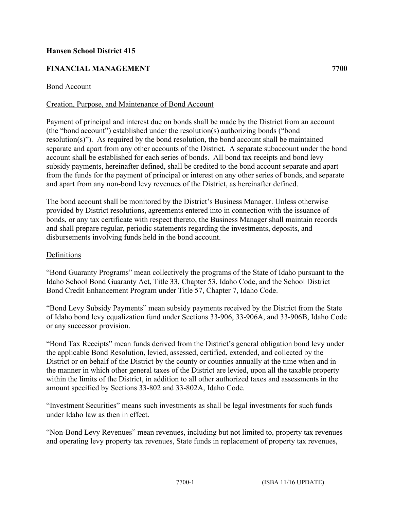## **Hansen School District 415**

# **FINANCIAL MANAGEMENT 7700**

### Bond Account

## Creation, Purpose, and Maintenance of Bond Account

Payment of principal and interest due on bonds shall be made by the District from an account (the "bond account") established under the resolution(s) authorizing bonds ("bond resolution(s)"). As required by the bond resolution, the bond account shall be maintained separate and apart from any other accounts of the District. A separate subaccount under the bond account shall be established for each series of bonds. All bond tax receipts and bond levy subsidy payments, hereinafter defined, shall be credited to the bond account separate and apart from the funds for the payment of principal or interest on any other series of bonds, and separate and apart from any non-bond levy revenues of the District, as hereinafter defined.

The bond account shall be monitored by the District's Business Manager. Unless otherwise provided by District resolutions, agreements entered into in connection with the issuance of bonds, or any tax certificate with respect thereto, the Business Manager shall maintain records and shall prepare regular, periodic statements regarding the investments, deposits, and disbursements involving funds held in the bond account.

#### Definitions

"Bond Guaranty Programs" mean collectively the programs of the State of Idaho pursuant to the Idaho School Bond Guaranty Act, Title 33, Chapter 53, Idaho Code, and the School District Bond Credit Enhancement Program under Title 57, Chapter 7, Idaho Code.

"Bond Levy Subsidy Payments" mean subsidy payments received by the District from the State of Idaho bond levy equalization fund under Sections 33-906, 33-906A, and 33-906B, Idaho Code or any successor provision.

"Bond Tax Receipts" mean funds derived from the District's general obligation bond levy under the applicable Bond Resolution, levied, assessed, certified, extended, and collected by the District or on behalf of the District by the county or counties annually at the time when and in the manner in which other general taxes of the District are levied, upon all the taxable property within the limits of the District, in addition to all other authorized taxes and assessments in the amount specified by Sections 33-802 and 33-802A, Idaho Code.

"Investment Securities" means such investments as shall be legal investments for such funds under Idaho law as then in effect.

"Non-Bond Levy Revenues" mean revenues, including but not limited to, property tax revenues and operating levy property tax revenues, State funds in replacement of property tax revenues,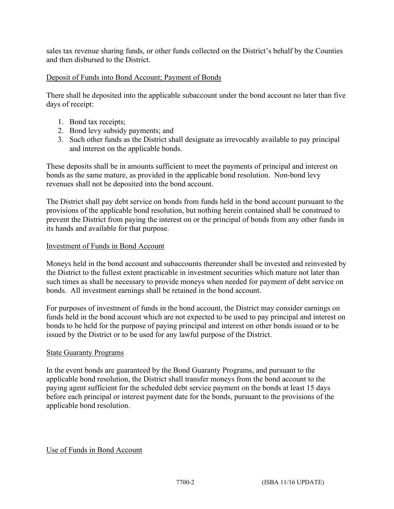sales tax revenue sharing funds, or other funds collected on the District's behalf by the Counties and then disbursed to the District.

## Deposit of Funds into Bond Account; Payment of Bonds

There shall be deposited into the applicable subaccount under the bond account no later than five days of receipt:

- 1. Bond tax receipts;
- 2. Bond levy subsidy payments; and
- 3. Such other funds as the District shall designate as irrevocably available to pay principal and interest on the applicable bonds.

These deposits shall be in amounts sufficient to meet the payments of principal and interest on bonds as the same mature, as provided in the applicable bond resolution. Non-bond levy revenues shall not be deposited into the bond account.

The District shall pay debt service on bonds from funds held in the bond account pursuant to the provisions of the applicable bond resolution, but nothing herein contained shall be construed to prevent the District from paying the interest on or the principal of bonds from any other funds in its hands and available for that purpose.

## Investment of Funds in Bond Account

Moneys held in the bond account and subaccounts thereunder shall be invested and reinvested by the District to the fullest extent practicable in investment securities which mature not later than such times as shall be necessary to provide moneys when needed for payment of debt service on bonds. All investment earnings shall be retained in the bond account.

For purposes of investment of funds in the bond account, the District may consider earnings on funds held in the bond account which are not expected to be used to pay principal and interest on bonds to be held for the purpose of paying principal and interest on other bonds issued or to be issued by the District or to be used for any lawful purpose of the District.

## State Guaranty Programs

In the event bonds are guaranteed by the Bond Guaranty Programs, and pursuant to the applicable bond resolution, the District shall transfer moneys from the bond account to the paying agent sufficient for the scheduled debt service payment on the bonds at least 15 days before each principal or interest payment date for the bonds, pursuant to the provisions of the applicable bond resolution.

## Use of Funds in Bond Account